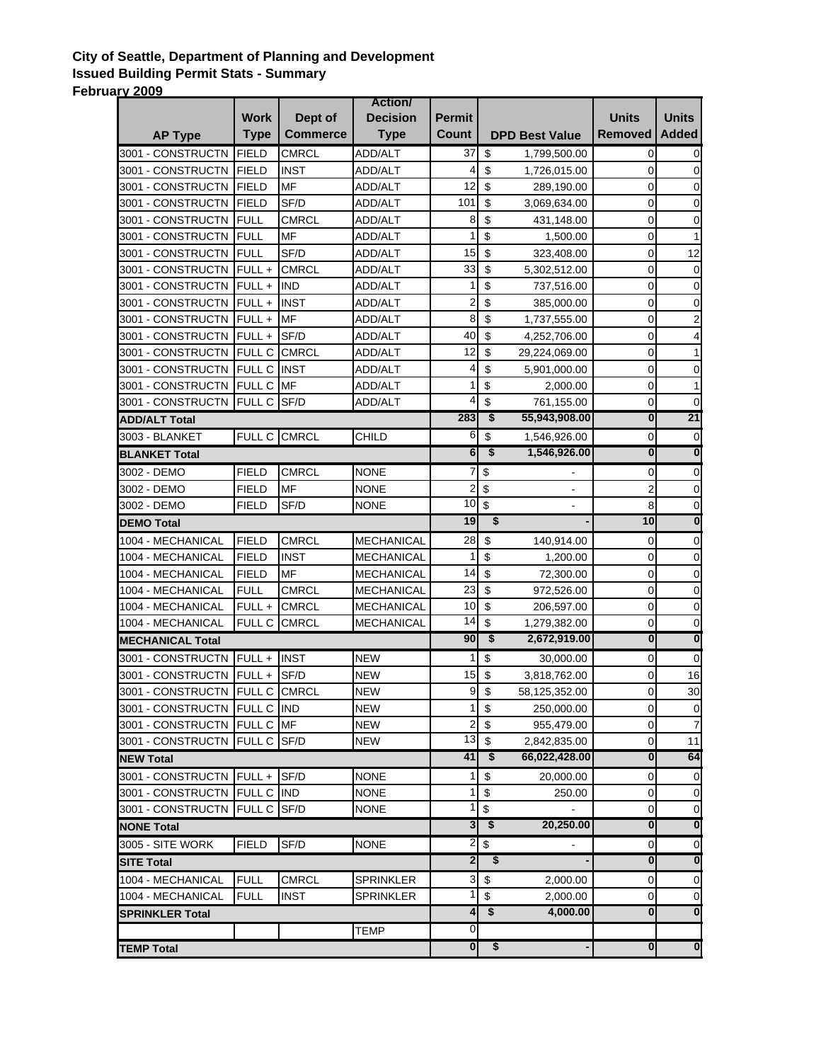## **City of Seattle, Department of Planning and Development Issued Building Permit Stats - Summary February 2009**

|                               |                  |                 | <b>Action</b>     |                         |                                      |                                      |                         |                         |
|-------------------------------|------------------|-----------------|-------------------|-------------------------|--------------------------------------|--------------------------------------|-------------------------|-------------------------|
|                               | <b>Work</b>      | Dept of         | <b>Decision</b>   | <b>Permit</b>           |                                      |                                      | <b>Units</b>            | <b>Units</b>            |
| <b>AP Type</b>                | <b>Type</b>      | <b>Commerce</b> | <b>Type</b>       | Count                   |                                      | <b>DPD Best Value</b>                | <b>Removed</b>          | <b>Added</b>            |
| 3001 - CONSTRUCTN             | <b>FIELD</b>     | <b>CMRCL</b>    | ADD/ALT           | 37                      | \$                                   | 1,799,500.00                         | $\overline{0}$          | 0                       |
| 3001 - CONSTRUCTN FIELD       |                  | <b>INST</b>     | <b>ADD/ALT</b>    | 4                       | \$                                   | 1,726,015.00                         | $\mathbf 0$             | $\mathbf 0$             |
| 3001 - CONSTRUCTN             | <b>IFIELD</b>    | <b>MF</b>       | <b>ADD/ALT</b>    | 12                      | \$                                   | 289,190.00                           | $\mathbf 0$             | 0                       |
| 3001 - CONSTRUCTN             | FIELD            | SF/D            | ADD/ALT           | 101                     | \$                                   | 3,069,634.00                         | $\mathbf 0$             | 0                       |
| 3001 - CONSTRUCTN             | <b>FULL</b>      | <b>CMRCL</b>    | <b>ADD/ALT</b>    | 8                       | \$                                   | 431,148.00                           | $\mathbf 0$             | 0                       |
| 3001 - CONSTRUCTN             | <b>FULL</b>      | MF              | ADD/ALT           | 1                       | \$                                   | 1,500.00                             | 0                       | 1                       |
| 3001 - CONSTRUCTN             | <b>IFULL</b>     | SF/D            | ADD/ALT           | 15                      | \$                                   | 323,408.00                           | 0                       | 12                      |
| 3001 - CONSTRUCTN FULL +      |                  | <b>CMRCL</b>    | ADD/ALT           | 33                      | \$                                   | 5,302,512.00                         | 0                       | $\mathbf 0$             |
| 3001 - CONSTRUCTN             | $FULL +$         | <b>IND</b>      | ADD/ALT           | 1                       | \$                                   | 737,516.00                           | 0                       | $\mathbf 0$             |
| 3001 - CONSTRUCTN             | FULL+            | <b>INST</b>     | ADD/ALT           | 2                       | \$                                   | 385,000.00                           | 0                       | $\pmb{0}$               |
| 3001 - CONSTRUCTN             | FULL+            | MF              | ADD/ALT           | 8                       | \$                                   | 1,737,555.00                         | $\mathbf 0$             | $\overline{c}$          |
| 3001 - CONSTRUCTN             | $FULL +$         | SF/D            | ADD/ALT           | 40                      | \$                                   | 4,252,706.00                         | $\mathsf 0$             | $\overline{\mathbf{4}}$ |
| 3001 - CONSTRUCTN             | <b>FULL C</b>    | <b>CMRCL</b>    | ADD/ALT           | 12                      | \$                                   | 29,224,069.00                        | $\mathsf 0$             | 1                       |
| 3001 - CONSTRUCTN             | <b>FULL C</b>    | <b>INST</b>     | ADD/ALT           | 4                       | \$                                   | 5,901,000.00                         | $\mathbf 0$             | $\pmb{0}$               |
| 3001 - CONSTRUCTN             | <b>FULL C MF</b> |                 | ADD/ALT           | 1                       | \$                                   | 2,000.00                             | $\mathbf 0$             | 1                       |
| 3001 - CONSTRUCTN             | <b>FULL C</b>    | SF/D            | ADD/ALT           | 4                       | \$                                   | 761,155.00                           | $\mathbf 0$             | $\overline{0}$          |
| <b>ADD/ALT Total</b>          |                  |                 |                   | 283                     | \$                                   | 55,943,908.00                        | $\overline{\mathbf{0}}$ | 21                      |
| 3003 - BLANKET                | FULL C           | <b>CMRCL</b>    | CHILD             | 6                       | \$                                   | 1,546,926.00                         | $\pmb{0}$               | $\mathbf 0$             |
| <b>BLANKET Total</b>          |                  |                 |                   | 6                       | \$                                   | 1,546,926.00                         | $\overline{\mathbf{0}}$ | $\overline{\mathbf{0}}$ |
| 3002 - DEMO                   | <b>FIELD</b>     | <b>CMRCL</b>    | <b>NONE</b>       | 7                       | \$                                   |                                      | 0                       | $\pmb{0}$               |
| 3002 - DEMO                   | <b>FIELD</b>     | <b>MF</b>       | <b>NONE</b>       | 2                       | \$                                   |                                      | 2                       | $\overline{0}$          |
| 3002 - DEMO                   | <b>FIELD</b>     | SF/D            | <b>NONE</b>       | 10                      | \$                                   |                                      | 8                       | $\mathbf 0$             |
| <b>DEMO Total</b>             |                  |                 |                   | 19                      |                                      | \$                                   | 10                      | $\overline{\mathbf{0}}$ |
| 1004 - MECHANICAL             | <b>FIELD</b>     | <b>CMRCL</b>    | MECHANICAL        | 28                      | \$                                   | 140,914.00                           | $\mathbf 0$             | $\pmb{0}$               |
| 1004 - MECHANICAL             | <b>FIELD</b>     | <b>INST</b>     | <b>MECHANICAL</b> | 1                       | \$                                   | 1,200.00                             | $\pmb{0}$               | 0                       |
| 1004 - MECHANICAL             | <b>FIELD</b>     | MF              | MECHANICAL        | 14                      | $\boldsymbol{\mathsf{S}}$            | 72,300.00                            | $\pmb{0}$               | 0                       |
| 1004 - MECHANICAL             | <b>FULL</b>      | <b>CMRCL</b>    | MECHANICAL        | 23                      | \$                                   | 972,526.00                           | 0                       | 0                       |
| 1004 - MECHANICAL             | FULL+            | <b>CMRCL</b>    | MECHANICAL        | 10                      | \$                                   | 206,597.00                           | $\mathbf 0$             | 0                       |
| 1004 - MECHANICAL             | <b>FULL C</b>    | <b>CMRCL</b>    | <b>MECHANICAL</b> | 14                      | \$                                   | 1,279,382.00                         | $\overline{0}$          | $\mathbf 0$             |
| <b>MECHANICAL Total</b>       |                  |                 |                   | 90                      | \$                                   | 2,672,919.00                         | $\overline{\mathbf{0}}$ | $\overline{\mathbf{0}}$ |
| 3001 - CONSTRUCTN             | FULL +           | <b>INST</b>     | <b>NEW</b>        | 1                       | \$                                   | 30,000.00                            | $\mathsf{O}\xspace$     | $\pmb{0}$               |
| 3001 - CONSTRUCTN             | $FULL +$         | SF/D            | <b>NEW</b>        | 15                      | \$                                   | 3,818,762.00                         | 0                       | 16                      |
| 3001 - CONSTRUCTN             | <b>FULL C</b>    | <b>CMRCL</b>    | <b>NEW</b>        | $\boldsymbol{9}$        | \$                                   | 58,125,352.00                        | 0                       | 30                      |
| 3001 - CONSTRUCTN FULL C IND  |                  |                 | <b>NEW</b>        | 1                       | $\boldsymbol{\mathsf{S}}$            | 250,000.00                           | $\overline{0}$          | $\overline{0}$          |
| 3001 - CONSTRUCTN FULL C MF   |                  |                 | <b>NEW</b>        | $\overline{c}$          | \$                                   | 955,479.00                           | $\mathbf 0$             | $\overline{7}$          |
| 3001 - CONSTRUCTN FULL C SF/D |                  |                 | <b>NEW</b>        | 13                      | \$                                   | 2,842,835.00                         | $\mathsf{O}\xspace$     | 11                      |
| <b>NEW Total</b>              |                  |                 |                   | 41                      | $\overline{\boldsymbol{\mathsf{s}}}$ | 66,022,428.00                        | $\overline{\mathbf{0}}$ | 64                      |
| 3001 - CONSTRUCTN FULL +      |                  | SF/D            | <b>NONE</b>       | 1                       | \$                                   | 20,000.00                            | $\mathbf 0$             | $\mathbf 0$             |
| 3001 - CONSTRUCTN FULL C      |                  | <b>IND</b>      | <b>NONE</b>       | 1                       | \$                                   | 250.00                               | $\mathbf 0$             | $\mathbf 0$             |
| 3001 - CONSTRUCTN FULL C      |                  | SF/D            | <b>NONE</b>       | 1                       | \$                                   |                                      | $\mathbf 0$             | $\overline{0}$          |
| <b>NONE Total</b>             |                  |                 |                   | 3                       | $\bullet$                            | 20,250.00                            | $\overline{\mathbf{0}}$ | $\overline{\mathbf{0}}$ |
| 3005 - SITE WORK              | <b>FIELD</b>     | SF/D            | <b>NONE</b>       | $\overline{2}$          | \$                                   |                                      | 0                       | $\overline{0}$          |
| <b>SITE Total</b>             |                  |                 |                   | $\overline{\mathbf{2}}$ |                                      | \$                                   | 0                       | $\bf{0}$                |
| 1004 - MECHANICAL             | <b>FULL</b>      | CMRCL           | <b>SPRINKLER</b>  | $\mathbf{3}$            | \$                                   | 2,000.00                             | $\mathbf 0$             | $\pmb{0}$               |
| 1004 - MECHANICAL             | <b>FULL</b>      | INST            | <b>SPRINKLER</b>  | 1                       | $\boldsymbol{\mathsf{S}}$            | 2,000.00                             | $\mathbf 0$             | $\mathbf 0$             |
| <b>SPRINKLER Total</b>        |                  |                 |                   | 4                       | \$                                   | 4,000.00                             | $\overline{\mathbf{0}}$ | $\overline{\mathbf{0}}$ |
|                               |                  |                 | <b>TEMP</b>       | $\pmb{0}$               |                                      |                                      |                         |                         |
| <b>TEMP Total</b>             |                  |                 |                   | $\overline{\mathbf{0}}$ |                                      | $\overline{\boldsymbol{\mathsf{s}}}$ | $\overline{\mathbf{0}}$ | $\overline{\mathbf{0}}$ |
|                               |                  |                 |                   |                         |                                      |                                      |                         |                         |